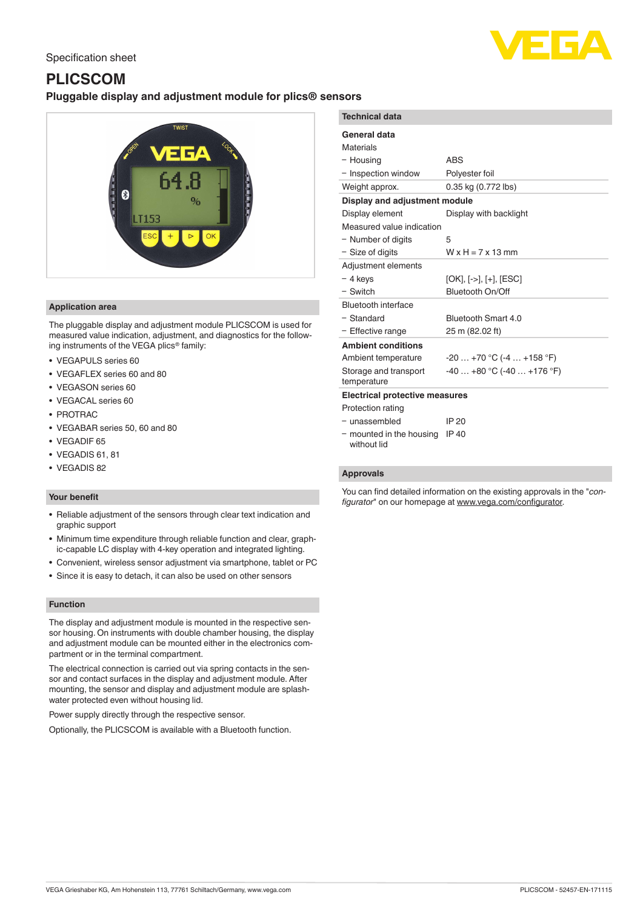# Specification sheet

# **PLICSCOM Pluggable display and adjustment module for plics® sensors**



# **Application area**

The pluggable display and adjustment module PLICSCOM is used for measured value indication, adjustment, and diagnostics for the following instruments of the VEGA plics® family:

- VEGAPULS series 60
- VEGAFLEX series 60 and 80
- VEGASON series 60
- VEGACAL series 60
- PROTRAC
- VEGABAR series 50, 60 and 80
- VEGADIF 65
- VEGADIS 61, 81
- VEGADIS 82

# **Your benefit**

- Reliable adjustment of the sensors through clear text indication and graphic support
- Minimum time expenditure through reliable function and clear, graphic-capable LC display with 4-key operation and integrated lighting.
- Convenient, wireless sensor adjustment via smartphone, tablet or PC
- Since it is easy to detach, it can also be used on other sensors

### **Function**

The display and adjustment module is mounted in the respective sensor housing. On instruments with double chamber housing, the display and adjustment module can be mounted either in the electronics compartment or in the terminal compartment.

The electrical connection is carried out via spring contacts in the sensor and contact surfaces in the display and adjustment module. After mounting, the sensor and display and adjustment module are splashwater protected even without housing lid.

Power supply directly through the respective sensor.

Optionally, the PLICSCOM is available with a Bluetooth function.

| ---                                   |                               |
|---------------------------------------|-------------------------------|
| <b>Technical data</b>                 |                               |
| General data                          |                               |
| <b>Materials</b>                      |                               |
| - Housing                             | <b>ABS</b>                    |
| - Inspection window                   | Polyester foil                |
| Weight approx.                        | 0.35 kg (0.772 lbs)           |
| Display and adjustment module         |                               |
| Display element                       | Display with backlight        |
| Measured value indication             |                               |
| - Number of digits                    | 5                             |
| - Size of digits                      | $W \times H = 7 \times 13$ mm |
| Adjustment elements                   |                               |
| - 4 keys                              | $[OK], [->], [+], [ESC]$      |
| - Switch                              | <b>Bluetooth On/Off</b>       |
| Bluetooth interface                   |                               |
| - Standard                            | Bluetooth Smart 4.0           |
| - Effective range                     | 25 m (82.02 ft)               |
| <b>Ambient conditions</b>             |                               |
| Ambient temperature                   | $-20+70$ °C $(-4+158$ °F)     |
| Storage and transport<br>temperature  | $-40+80$ °C ( $-40+176$ °F)   |
| <b>Electrical protective measures</b> |                               |
| Protection rating                     |                               |
| - unassembled                         | IP 20                         |
| - mounted in the housing              | IP 40                         |

without lid

#### **Approvals**

You can find detailed information on the existing approvals in the "*configurator*" on our homepage at [www.vega.com/configurator](http://www.vega.com/configurator).